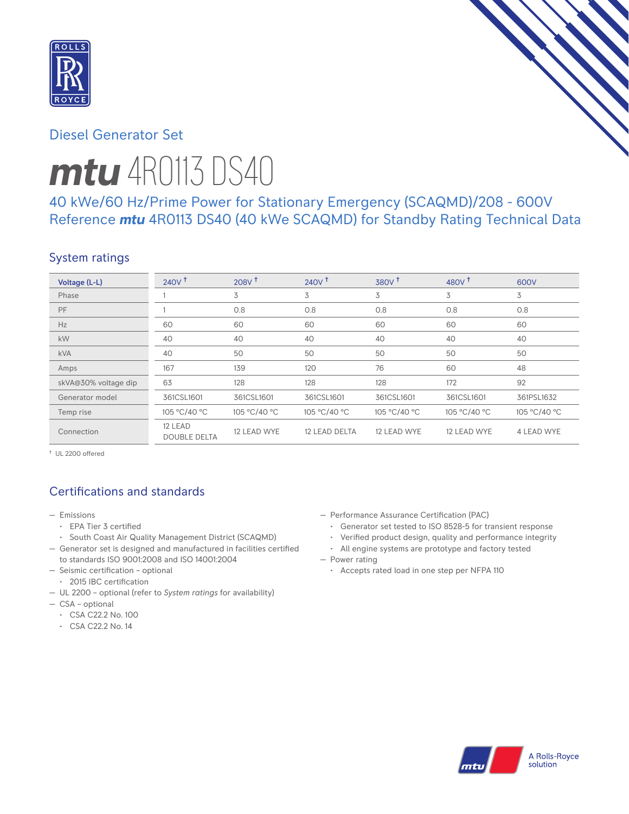

# Diesel Generator Set

# *mtu* 4R0113 DS40

40 kWe/60 Hz/Prime Power for Stationary Emergency (SCAQMD)/208 - 600V Reference *mtu* 4R0113 DS40 (40 kWe SCAQMD) for Standby Rating Technical Data

## System ratings

| Voltage (L-L)        | $240V$ <sup>t</sup>            | 208V <sup>†</sup> | $240V$ <sup>+</sup> | $380V$ <sup>+</sup> | 480 $V†$     | 600V         |
|----------------------|--------------------------------|-------------------|---------------------|---------------------|--------------|--------------|
| Phase                |                                | 3                 | 3                   | 3                   | 3            | 3            |
| PF                   |                                | 0.8               | 0.8                 | 0.8                 | 0.8          | 0.8          |
| Hz                   | 60                             | 60                | 60                  | 60                  | 60           | 60           |
| kW                   | 40                             | 40                | 40                  | 40                  | 40           | 40           |
| <b>kVA</b>           | 40                             | 50                | 50                  | 50                  | 50           | 50           |
| Amps                 | 167                            | 139               | 120                 | 76                  | 60           | 48           |
| skVA@30% voltage dip | 63                             | 128               | 128                 | 128                 | 172          | 92           |
| Generator model      | 361CSL1601                     | 361CSL1601        | 361CSL1601          | 361CSL1601          | 361CSL1601   | 361PSL1632   |
| Temp rise            | 105 °C/40 °C                   | 105 °C/40 °C      | 105 °C/40 °C        | 105 °C/40 °C        | 105 °C/40 °C | 105 °C/40 °C |
| Connection           | 12 LEAD<br><b>DOUBLE DELTA</b> | 12 LEAD WYE       | 12 LEAD DELTA       | 12 LEAD WYE         | 12 LEAD WYE  | 4 LEAD WYE   |

† UL 2200 offered

# Certifications and standards

- Emissions
	- EPA Tier 3 certified
	- South Coast Air Quality Management District (SCAQMD)
- Generator set is designed and manufactured in facilities certified to standards ISO 9001:2008 and ISO 14001:2004
- Seismic certification optional
- 2015 IBC certification
- UL 2200 optional (refer to *System ratings* for availability)
- CSA optional
	- CSA C22.2 No. 100
	- CSA C22.2 No. 14
- Performance Assurance Certification (PAC)
	- Generator set tested to ISO 8528-5 for transient response
	- Verified product design, quality and performance integrity
	- All engine systems are prototype and factory tested
- Power rating
	- Accepts rated load in one step per NFPA 110

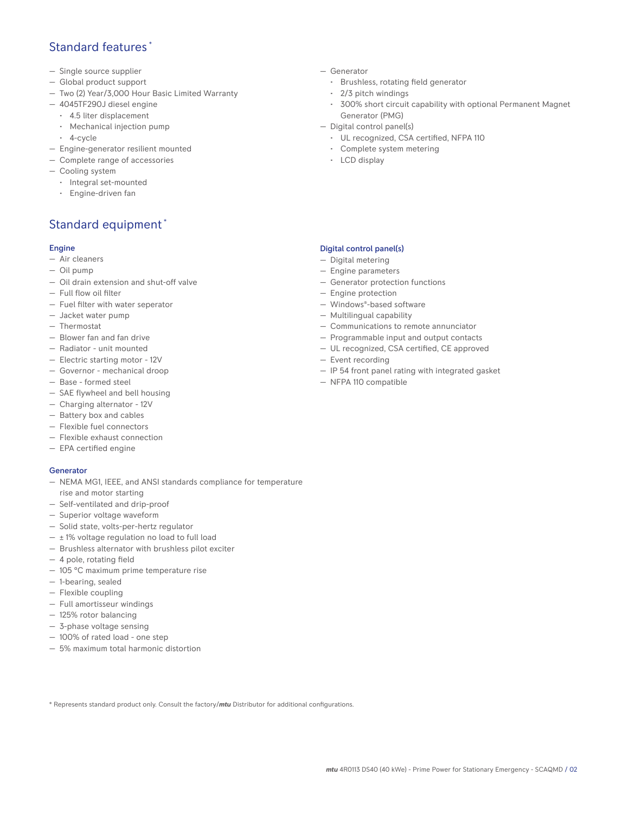## Standard features \*

- Single source supplier
- Global product support
- Two (2) Year/3,000 Hour Basic Limited Warranty
- 4045TF290J diesel engine
	- 4.5 liter displacement
	- Mechanical injection pump
	- 4-cycle
- Engine-generator resilient mounted
- Complete range of accessories
- Cooling system
- Integral set-mounted
	- Engine-driven fan

## Standard equipment \*

#### Engine

- Air cleaners
- Oil pump
- Oil drain extension and shut-off valve
- Full flow oil filter
- Fuel filter with water seperator
- Jacket water pump
- Thermostat
- Blower fan and fan drive
- Radiator unit mounted
- Electric starting motor 12V
- Governor mechanical droop
- Base formed steel
- SAE flywheel and bell housing
- Charging alternator 12V
- Battery box and cables
- Flexible fuel connectors
- Flexible exhaust connection
- EPA certified engine

#### **Generator**

- NEMA MG1, IEEE, and ANSI standards compliance for temperature rise and motor starting
- Self-ventilated and drip-proof
- Superior voltage waveform
- Solid state, volts-per-hertz regulator
- $\pm$  1% voltage regulation no load to full load
- Brushless alternator with brushless pilot exciter
- 4 pole, rotating field
- 105 °C maximum prime temperature rise
- 1-bearing, sealed
- Flexible coupling
- Full amortisseur windings
- 125% rotor balancing
- 3-phase voltage sensing
- 100% of rated load one step
- 5% maximum total harmonic distortion
- Generator
	- Brushless, rotating field generator
	- 2/3 pitch windings
	- 300% short circuit capability with optional Permanent Magnet Generator (PMG)
- Digital control panel(s)
	- UL recognized, CSA certified, NFPA 110
	- Complete system metering
	- LCD display

#### Digital control panel(s)

- Digital metering
- Engine parameters
- Generator protection functions
- Engine protection
- Windows®-based software
- Multilingual capability
- Communications to remote annunciator
- Programmable input and output contacts
- UL recognized, CSA certified, CE approved
- Event recording
- IP 54 front panel rating with integrated gasket
- NFPA 110 compatible

\* Represents standard product only. Consult the factory/*mtu* Distributor for additional configurations.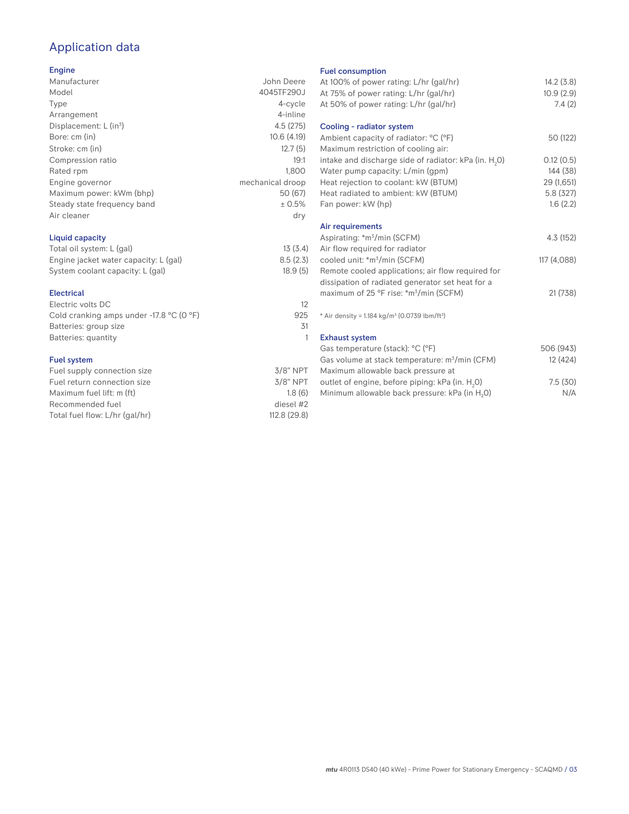# Application data

#### Engine

| Manufacturer                         | John Deere       |
|--------------------------------------|------------------|
| Model                                | 4045TF290J       |
| Type                                 | 4-cycle          |
| Arrangement                          | 4-inline         |
| Displacement: $L$ (in <sup>3</sup> ) | 4.5(275)         |
| Bore: cm (in)                        | 10.6(4.19)       |
| Stroke: cm (in)                      | 12.7(5)          |
| Compression ratio                    | 19:1             |
| Rated rpm                            | 1.800            |
| Engine governor                      | mechanical droop |
| Maximum power: kWm (bhp)             | 50 (67)          |
| Steady state frequency band          | ± 0.5%           |
| Air cleaner                          | dry              |
|                                      |                  |

#### Liquid capacity

| Total oil system: L (gal)             | 13(3.4)  |
|---------------------------------------|----------|
| Engine jacket water capacity: L (gal) | 8.5(2.3) |
| System coolant capacity: L (gal)      | 18.9(5)  |

#### Electrical

| Electric volts DC                                            | 12  |
|--------------------------------------------------------------|-----|
| Cold cranking amps under -17.8 $^{\circ}$ C (O $^{\circ}$ F) | 925 |
| Batteries: group size                                        | .31 |
| Batteries: quantity                                          |     |
|                                                              |     |

#### Fuel system

| $3/8"$ NPT   |
|--------------|
| $3/8$ " NPT  |
| 1.8(6)       |
| diesel #2    |
| 112.8 (29.8) |
|              |

#### Fuel consumption

| r det consumption                                                    |             |
|----------------------------------------------------------------------|-------------|
| At 100% of power rating: L/hr (gal/hr)                               | 14.2(3.8)   |
| At 75% of power rating: L/hr (gal/hr)                                | 10.9(2.9)   |
| At 50% of power rating: L/hr (gal/hr)                                | 7.4(2)      |
|                                                                      |             |
| Cooling - radiator system                                            |             |
| Ambient capacity of radiator: °C (°F)                                | 50 (122)    |
| Maximum restriction of cooling air:                                  |             |
| intake and discharge side of radiator: kPa (in. H <sub>2</sub> O)    | 0.12(0.5)   |
| Water pump capacity: L/min (gpm)                                     | 144 (38)    |
| Heat rejection to coolant: kW (BTUM)                                 | 29 (1,651)  |
| Heat radiated to ambient: kW (BTUM)                                  | 5.8 (327)   |
| Fan power: kW (hp)                                                   | 1.6(2.2)    |
|                                                                      |             |
| Air requirements                                                     |             |
| Aspirating: *m <sup>3</sup> /min (SCFM)                              | 4.3 (152)   |
| Air flow required for radiator                                       |             |
| cooled unit: *m <sup>3</sup> /min (SCFM)                             | 117 (4,088) |
| Remote cooled applications; air flow required for                    |             |
| dissipation of radiated generator set heat for a                     |             |
|                                                                      |             |
| maximum of 25 °F rise: *m <sup>3</sup> /min (SCFM)                   | 21 (738)    |
| * Air density = $1.184 \text{ kg/m}^3$ (0.0739 lbm/ft <sup>3</sup> ) |             |
|                                                                      |             |
| <b>Exhaust system</b>                                                |             |
| Gas temperature (stack): °C (°F)                                     | 506 (943)   |
| Gas volume at stack temperature: m <sup>3</sup> /min (CFM)           | 12 (424)    |
| Maximum allowable back pressure at                                   |             |
| outlet of engine, before piping: kPa (in. H <sub>2</sub> 0)          | 7.5(30)     |
| Minimum allowable back pressure: kPa (in H <sub>2</sub> 0)           | N/A         |
|                                                                      |             |